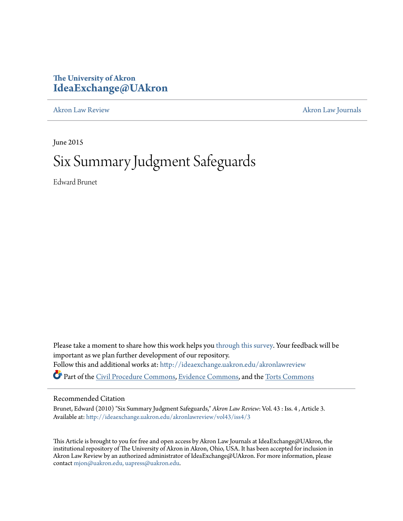# **The University of Akron [IdeaExchange@UAkron](http://ideaexchange.uakron.edu?utm_source=ideaexchange.uakron.edu%2Fakronlawreview%2Fvol43%2Fiss4%2F3&utm_medium=PDF&utm_campaign=PDFCoverPages)**

[Akron Law Review](http://ideaexchange.uakron.edu/akronlawreview?utm_source=ideaexchange.uakron.edu%2Fakronlawreview%2Fvol43%2Fiss4%2F3&utm_medium=PDF&utm_campaign=PDFCoverPages) [Akron Law Journals](http://ideaexchange.uakron.edu/akronlawjournals?utm_source=ideaexchange.uakron.edu%2Fakronlawreview%2Fvol43%2Fiss4%2F3&utm_medium=PDF&utm_campaign=PDFCoverPages)

June 2015

# Six Summary Judgment Safeguards

Edward Brunet

Please take a moment to share how this work helps you [through this survey.](http://survey.az1.qualtrics.com/SE/?SID=SV_eEVH54oiCbOw05f&URL=http://ideaexchange.uakron.edu/akronlawreview/vol43/iss4/3) Your feedback will be important as we plan further development of our repository. Follow this and additional works at: [http://ideaexchange.uakron.edu/akronlawreview](http://ideaexchange.uakron.edu/akronlawreview?utm_source=ideaexchange.uakron.edu%2Fakronlawreview%2Fvol43%2Fiss4%2F3&utm_medium=PDF&utm_campaign=PDFCoverPages) Part of the [Civil Procedure Commons](http://network.bepress.com/hgg/discipline/584?utm_source=ideaexchange.uakron.edu%2Fakronlawreview%2Fvol43%2Fiss4%2F3&utm_medium=PDF&utm_campaign=PDFCoverPages), [Evidence Commons](http://network.bepress.com/hgg/discipline/601?utm_source=ideaexchange.uakron.edu%2Fakronlawreview%2Fvol43%2Fiss4%2F3&utm_medium=PDF&utm_campaign=PDFCoverPages), and the [Torts Commons](http://network.bepress.com/hgg/discipline/913?utm_source=ideaexchange.uakron.edu%2Fakronlawreview%2Fvol43%2Fiss4%2F3&utm_medium=PDF&utm_campaign=PDFCoverPages)

# Recommended Citation

Brunet, Edward (2010) "Six Summary Judgment Safeguards," *Akron Law Review*: Vol. 43 : Iss. 4 , Article 3. Available at: [http://ideaexchange.uakron.edu/akronlawreview/vol43/iss4/3](http://ideaexchange.uakron.edu/akronlawreview/vol43/iss4/3?utm_source=ideaexchange.uakron.edu%2Fakronlawreview%2Fvol43%2Fiss4%2F3&utm_medium=PDF&utm_campaign=PDFCoverPages)

This Article is brought to you for free and open access by Akron Law Journals at IdeaExchange@UAkron, the institutional repository of The University of Akron in Akron, Ohio, USA. It has been accepted for inclusion in Akron Law Review by an authorized administrator of IdeaExchange@UAkron. For more information, please contact [mjon@uakron.edu, uapress@uakron.edu.](mailto:mjon@uakron.edu,%20uapress@uakron.edu)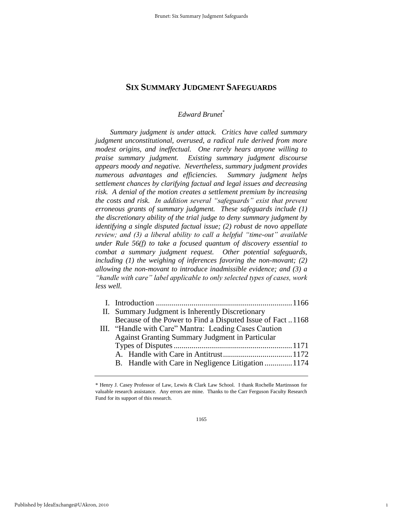# *Edward Brunet*\*

*Summary judgment is under attack. Critics have called summary judgment unconstitutional, overused, a radical rule derived from more modest origins, and ineffectual. One rarely hears anyone willing to praise summary judgment. Existing summary judgment discourse appears moody and negative. Nevertheless, summary judgment provides numerous advantages and efficiencies. Summary judgment helps settlement chances by clarifying factual and legal issues and decreasing risk. A denial of the motion creates a settlement premium by increasing the costs and risk. In addition several "safeguards" exist that prevent erroneous grants of summary judgment. These safeguards include (1) the discretionary ability of the trial judge to deny summary judgment by identifying a single disputed factual issue; (2) robust de novo appellate review; and (3) a liberal ability to call a helpful "time-out" available under Rule 56(f) to take a focused quantum of discovery essential to combat a summary judgment request. Other potential safeguards,*  including (1) the weighing of inferences favoring the non-movant; (2) *allowing the non-movant to introduce inadmissible evidence; and (3) a "handle with care" label applicable to only selected types of cases, work less well.* 

| II. Summary Judgment is Inherently Discretionary          |  |
|-----------------------------------------------------------|--|
| Because of the Power to Find a Disputed Issue of Fact1168 |  |
| III. "Handle with Care" Mantra: Leading Cases Caution     |  |
| <b>Against Granting Summary Judgment in Particular</b>    |  |
|                                                           |  |
|                                                           |  |
| B. Handle with Care in Negligence Litigation  1174        |  |
|                                                           |  |

1

<sup>\*</sup> Henry J. Casey Professor of Law, Lewis & Clark Law School. I thank Rochelle Martinsson for valuable research assistance. Any errors are mine. Thanks to the Carr Ferguson Faculty Research Fund for its support of this research.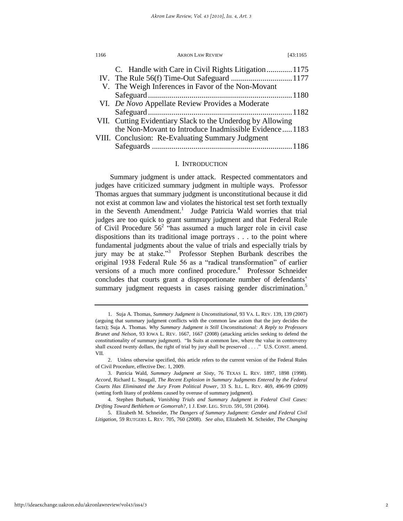| 1166 | <b>AKRON LAW REVIEW</b>                                    | [43:1165] |
|------|------------------------------------------------------------|-----------|
|      | C. Handle with Care in Civil Rights Litigation 1175        |           |
|      |                                                            |           |
|      | V. The Weigh Inferences in Favor of the Non-Movant         |           |
|      |                                                            |           |
|      | VI. De Novo Appellate Review Provides a Moderate           |           |
|      |                                                            |           |
|      | VII. Cutting Evidentiary Slack to the Underdog by Allowing |           |
|      | the Non-Movant to Introduce Inadmissible Evidence1183      |           |
|      | VIII. Conclusion: Re-Evaluating Summary Judgment           |           |
|      |                                                            |           |

# I. INTRODUCTION

Summary judgment is under attack. Respected commentators and judges have criticized summary judgment in multiple ways. Professor Thomas argues that summary judgment is unconstitutional because it did not exist at common law and violates the historical test set forth textually in the Seventh Amendment.<sup>1</sup> Judge Patricia Wald worries that trial judges are too quick to grant summary judgment and that Federal Rule of Civil Procedure  $56<sup>2</sup>$  "has assumed a much larger role in civil case dispositions than its traditional image portrays . . . to the point where fundamental judgments about the value of trials and especially trials by jury may be at stake."<sup>3</sup> Professor Stephen Burbank describes the original 1938 Federal Rule 56 as a "radical transformation" of earlier versions of a much more confined procedure.<sup>4</sup> Professor Schneider concludes that courts grant a disproportionate number of defendants' summary judgment requests in cases raising gender discrimination.<sup>5</sup>

<sup>1.</sup> Suja A. Thomas, *Summary Judgment is Unconstitutional*, 93 VA. L. REV. 139, 139 (2007) (arguing that summary judgment conflicts with the common law axiom that the jury decides the facts); Suja A. Thomas. *Why Summary Judgment is Still Unconstitutional: A Reply to Professors Brunet and Nelson,* 93 IOWA L. REV. 1667, 1667 (2008) (attacking articles seeking to defend the constitutionality of summary judgment). "In Suits at common law, where the value in controversy shall exceed twenty dollars, the right of trial by jury shall be preserved . . . ." U.S. CONST. amend. VII.

<sup>2.</sup> Unless otherwise specified, this article refers to the current version of the Federal Rules of Civil Procedure, effective Dec. 1, 2009.

<sup>3.</sup> Patricia Wald, *Summary Judgment at Sixty*, 76 TEXAS L. REV. 1897, 1898 (1998). *Accord*, Richard L. Steagall, *The Recent Explosion in Summary Judgments Entered by the Federal Courts Has Eliminated the Jury From Political Power*, 33 S. ILL. L. REV. 469, 496-99 (2009) (setting forth litany of problems caused by overuse of summary judgment).

<sup>4.</sup> Stephen Burbank, *Vanishing Trials and Summary Judgment in Federal Civil Cases: Drifting Toward Bethlehem or Gomorrah?*, 1 J. EMP. LEG. STUD. 591, 591 (2004).

<sup>5.</sup> Elizabeth M. Schneider, *The Dangers of Summary Judgment: Gender and Federal Civil Litigation*, 59 RUTGERS L. REV. 705, 760 (2008). *See also*, Elizabeth M. Scheider, *The Changing*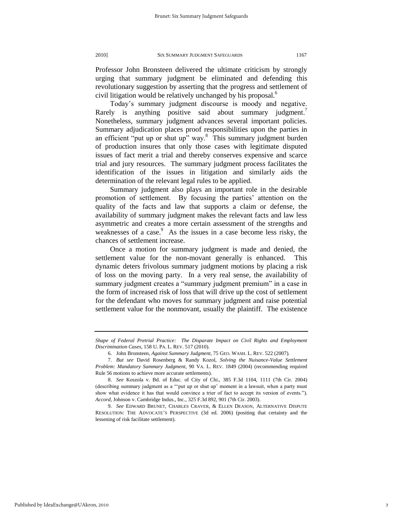Professor John Bronsteen delivered the ultimate criticism by strongly urging that summary judgment be eliminated and defending this revolutionary suggestion by asserting that the progress and settlement of civil litigation would be relatively unchanged by his proposal.<sup>6</sup>

Today"s summary judgment discourse is moody and negative. Rarely is anything positive said about summary judgment.<sup>7</sup> Nonetheless, summary judgment advances several important policies. Summary adjudication places proof responsibilities upon the parties in an efficient "put up or shut up" way. $8$  This summary judgment burden of production insures that only those cases with legitimate disputed issues of fact merit a trial and thereby conserves expensive and scarce trial and jury resources. The summary judgment process facilitates the identification of the issues in litigation and similarly aids the determination of the relevant legal rules to be applied.

Summary judgment also plays an important role in the desirable promotion of settlement. By focusing the parties' attention on the quality of the facts and law that supports a claim or defense, the availability of summary judgment makes the relevant facts and law less asymmetric and creates a more certain assessment of the strengths and weaknesses of a case. $\degree$  As the issues in a case become less risky, the chances of settlement increase.

Once a motion for summary judgment is made and denied, the settlement value for the non-movant generally is enhanced. This dynamic deters frivolous summary judgment motions by placing a risk of loss on the moving party. In a very real sense, the availability of summary judgment creates a "summary judgment premium" in a case in the form of increased risk of loss that will drive up the cost of settlement for the defendant who moves for summary judgment and raise potential settlement value for the nonmovant, usually the plaintiff. The existence

*Shape of Federal Pretrial Practice: The Disparate Impact on Civil Rights and Employment Discrimination Cases,* 158 U. PA. L. REV. 517 (2010).

<sup>6.</sup> John Bronsteen, *Against Summary Judgment*, 75 GEO. WASH. L. REV. 522 (2007).

<sup>7.</sup> *But see* David Rosenberg & Randy Kozol, *Solving the Nuisance-Value Settlement Problem: Mandatory Summary Judgment*, 90 VA. L. REV. 1849 (2004) (recommending required Rule 56 motions to achieve more accurate settlements).

<sup>8.</sup> *See* Koszola v. Bd. of Educ. of City of Chi., 385 F.3d 1104, 1111 (7th Cir. 2004) (describing summary judgment as a ""put up or shut up" moment in a lawsuit, when a party must show what evidence it has that would convince a trier of fact to accept its version of events."). *Accord*, Johnson v. Cambridge Indus., Inc., 325 F.3d 892, 901 (7th Cir. 2003).

<sup>9.</sup> *See* EDWARD BRUNET, CHARLES CRAVER, & ELLEN DEASON, ALTERNATIVE DISPUTE RESOLUTION: THE ADVOCATE"S PERSPECTIVE (3d ed. 2006) (positing that certainty and the lessening of risk facilitate settlement).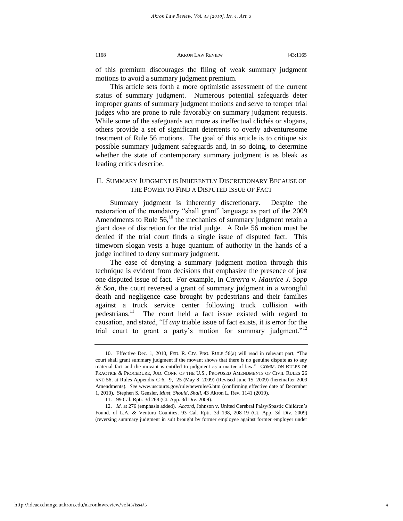#### 1168 AKRON LAW REVIEW [43:1165

of this premium discourages the filing of weak summary judgment motions to avoid a summary judgment premium.

This article sets forth a more optimistic assessment of the current status of summary judgment. Numerous potential safeguards deter improper grants of summary judgment motions and serve to temper trial judges who are prone to rule favorably on summary judgment requests. While some of the safeguards act more as ineffectual clichés or slogans, others provide a set of significant deterrents to overly adventuresome treatment of Rule 56 motions. The goal of this article is to critique six possible summary judgment safeguards and, in so doing, to determine whether the state of contemporary summary judgment is as bleak as leading critics describe.

# II. SUMMARY JUDGMENT IS INHERENTLY DISCRETIONARY BECAUSE OF THE POWER TO FIND A DISPUTED ISSUE OF FACT

Summary judgment is inherently discretionary. Despite the restoration of the mandatory "shall grant" language as part of the 2009 Amendments to Rule  $56$ ,<sup>10</sup> the mechanics of summary judgment retain a giant dose of discretion for the trial judge. A Rule 56 motion must be denied if the trial court finds a single issue of disputed fact. This timeworn slogan vests a huge quantum of authority in the hands of a judge inclined to deny summary judgment.

The ease of denying a summary judgment motion through this technique is evident from decisions that emphasize the presence of just one disputed issue of fact. For example, in *Carerra v. Maurice J. Sopp & Son*, the court reversed a grant of summary judgment in a wrongful death and negligence case brought by pedestrians and their families against a truck service center following truck collision with pedestrians.<sup>11</sup> The court held a fact issue existed with regard to causation, and stated, "If *any* triable issue of fact exists, it is error for the trial court to grant a party's motion for summary judgment."<sup>12</sup>

<sup>10.</sup> Effective Dec. 1, 2010, FED. R. CIV. PRO. RULE 56(a) will read in relevant part, "The court shall grant summary judgment if the movant shows that there is no genuine dispute as to any material fact and the movant is entitled to judgment as a matter of law." COMM. ON RULES OF PRACTICE & PROCEDURE, JUD. CONF. OF THE U.S., PROPOSED AMENDMENTS OF CIVIL RULES 26 AND 56, at Rules Appendix C-6, -9, -25 (May 8, 2009) (Revised June 15, 2009) (hereinafter 2009 Amendments). *See* www.uscourts.gov/rule/newrules6.htm (confirming effective date of December 1, 2010). Stephen S. Gensler, *Must, Should, Shall*, 43 Akron L. Rev. 1141 (2010).

<sup>11. 99</sup> Cal. Rptr. 3d 268 (Ct. App. 3d Div. 2009).

<sup>12.</sup> *Id.* at 276 (emphasis added). *Accord*, Johnson v. United Cerebral Palsy/Spastic Children"s Found. of L.A. & Ventura Counties, 93 Cal. Rptr. 3d 198, 208-19 (Ct. App. 3d Div. 2009) (reversing summary judgment in suit brought by former employee against former employer under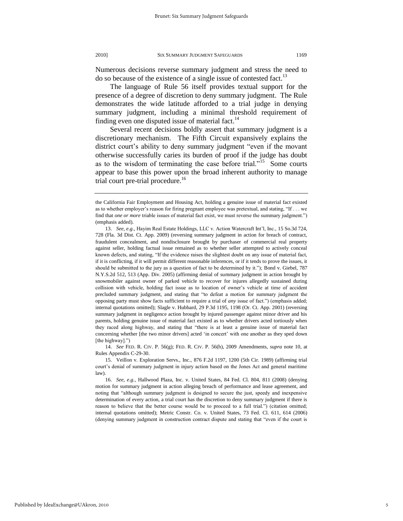Numerous decisions reverse summary judgment and stress the need to do so because of the existence of a single issue of contested fact.<sup>13</sup>

The language of Rule 56 itself provides textual support for the presence of a degree of discretion to deny summary judgment. The Rule demonstrates the wide latitude afforded to a trial judge in denying summary judgment, including a minimal threshold requirement of finding even one disputed issue of material fact.<sup>14</sup>

Several recent decisions boldly assert that summary judgment is a discretionary mechanism. The Fifth Circuit expansively explains the district court's ability to deny summary judgment "even if the movant otherwise successfully caries its burden of proof if the judge has doubt as to the wisdom of terminating the case before trial."<sup>15</sup> Some courts appear to base this power upon the broad inherent authority to manage trial court pre-trial procedure.<sup>16</sup>

14. *See* FED. R. CIV. P. 56(g); FED. R. CIV. P. 56(h), 2009 Amendments, *supra* note 10, at Rules Appendix C-29-30.

the California Fair Employment and Housing Act, holding a genuine issue of material fact existed as to whether employer"s reason for firing pregnant employee was pretextual, and stating, "If . . . we find that *one or more* triable issues of material fact exist, we must reverse the summary judgment.") (emphasis added).

<sup>13.</sup> *See, e.g.*, Hayim Real Estate Holdings, LLC v. Action Watercraft Int"l, Inc., 15 So.3d 724, 728 (Fla. 3d Dist. Ct. App. 2009) (reversing summary judgment in action for breach of contract, fraudulent concealment, and nondisclosure brought by purchaser of commercial real property against seller, holding factual issue remained as to whether seller attempted to actively conceal known defects, and stating, "If the evidence raises the slightest doubt on any issue of material fact, if it is conflicting, if it will permit different reasonable inferences, or if it tends to prove the issues, it should be submitted to the jury as a question of fact to be determined by it."); Bond v. Giebel*,* 787 N.Y.S.2d 512, 513 (App. Div. 2005) (affirming denial of summary judgment in action brought by snowmobiler against owner of parked vehicle to recover for injures allegedly sustained during collision with vehicle, holding fact issue as to location of owner"s vehicle at time of accident precluded summary judgment, and stating that "to defeat a motion for summary judgment the opposing party must show facts sufficient to require a trial of *any* issue of fact.") (emphasis added; internal quotations omitted); Slagle v. Hubbard, 29 P.3d 1195, 1198 (Or. Ct. App. 2001) (reversing summary judgment in negligence action brought by injured passenger against minor driver and his parents, holding genuine issue of material fact existed as to whether drivers acted tortiously when they raced along highway, and stating that "there is at least a genuine issue of material fact concerning whether [the two minor drivers] acted "in concert" with one another as they sped down [the highway].")

<sup>15.</sup> Veillon v. Exploration Servs., Inc., 876 F.2d 1197, 1200 (5th Cir. 1989) (affirming trial court"s denial of summary judgment in injury action based on the Jones Act and general maritime law).

<sup>16.</sup> *See, e.g.*, Hallwood Plaza, Inc. v. United States, 84 Fed. Cl. 804, 811 (2008) (denying motion for summary judgment in action alleging breach of performance and lease agreement, and noting that "although summary judgment is designed to secure the just, speedy and inexpensive determination of every action, a trial court has the discretion to deny summary judgment if there is reason to believe that the better course would be to proceed to a full trial.") (citation omitted; internal quotations omitted); Metric Constr. Co. v. United States, 73 Fed. Cl. 611, 614 (2006) (denying summary judgment in construction contract dispute and stating that "even if the court is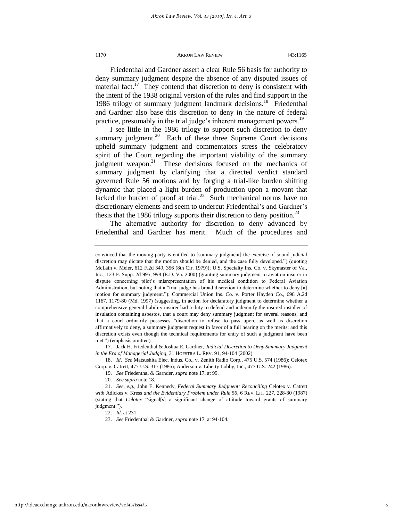<span id="page-6-0"></span>Friedenthal and Gardner assert a clear Rule 56 basis for authority to deny summary judgment despite the absence of any disputed issues of material fact.<sup>17</sup> They contend that discretion to deny is consistent with the intent of the 1938 original version of the rules and find support in the 1986 trilogy of summary judgment landmark decisions.<sup>18</sup> Friedenthal and Gardner also base this discretion to deny in the nature of federal practice, presumably in the trial judge's inherent management powers.<sup>19</sup>

<span id="page-6-2"></span><span id="page-6-1"></span>I see little in the 1986 trilogy to support such discretion to deny summary judgment.<sup>20</sup> Each of these three Supreme Court decisions upheld summary judgment and commentators stress the celebratory spirit of the Court regarding the important viability of the summary judgment weapon.<sup>21</sup> These decisions focused on the mechanics of summary judgment by clarifying that a directed verdict standard governed Rule 56 motions and by forging a trial-like burden shifting dynamic that placed a light burden of production upon a movant that lacked the burden of proof at trial.<sup>22</sup> Such mechanical norms have no discretionary elements and seem to undercut Friedenthal"s and Gardner"s thesis that the 1986 trilogy supports their discretion to deny position.<sup>23</sup>

The alternative authority for discretion to deny advanced by Friedenthal and Gardner has merit. Much of the procedures and

17. Jack H. Friedenthal & Joshua E. Gardner, *Judicial Discretion to Deny Summary Judgment in the Era of Managerial Judging*, 31 HOFSTRA L. REV. 91, 94-104 (2002).

18. *Id*. *See* [Matsushita Elec. Indus. Co., v. Zenith Radio Corp., 475 U.S. 574 \(1986\);](https://web2.westlaw.com/find/default.wl?tf=-1&rs=WLW10.03&serialnum=1986115992&fn=_top&sv=Split&tc=-1&pbc=0626D267&ordoc=0292219567&findtype=Y&db=780&vr=2.0&rp=%2ffind%2fdefault.wl&mt=208) [Celotex](https://web2.westlaw.com/find/default.wl?tf=-1&rs=WLW10.03&serialnum=1986132677&fn=_top&sv=Split&tc=-1&pbc=0626D267&ordoc=0292219567&findtype=Y&db=780&vr=2.0&rp=%2ffind%2fdefault.wl&mt=208)  [Corp. v. Catrett, 477 U.S. 317 \(1986\);](https://web2.westlaw.com/find/default.wl?tf=-1&rs=WLW10.03&serialnum=1986132677&fn=_top&sv=Split&tc=-1&pbc=0626D267&ordoc=0292219567&findtype=Y&db=780&vr=2.0&rp=%2ffind%2fdefault.wl&mt=208) [Anderson v. Liberty Lobby, Inc., 477 U.S. 242 \(1986\).](https://web2.westlaw.com/find/default.wl?tf=-1&rs=WLW10.03&serialnum=1986132674&fn=_top&sv=Split&tc=-1&pbc=0626D267&ordoc=0292219567&findtype=Y&db=780&vr=2.0&rp=%2ffind%2fdefault.wl&mt=208) 

19. *See* Friedenthal & Garnder, *supra* not[e 17,](#page-6-0) at 99.

20. *See supra* note [18.](#page-6-1) 

22. *Id.* at 231.

23. *See* Friedenthal & Gardner, *supra* not[e 17,](#page-6-0) at 94-104.

convinced that the moving party is entitled to [summary judgment] the exercise of sound judicial discretion may dictate that the motion should be denied, and the case fully developed.") (quoting McLain v. Meier, 612 F.2d 349, 356 (8th Cir. 1979)); U.S. Specialty Ins. Co. v. Skymaster of Va., Inc., 123 F. Supp. 2d 995, 998 (E.D. Va. 2000) (granting summary judgment to aviation insurer in dispute concerning pilot's misrepresentation of his medical condition to Federal Aviation Administration, but noting that a "trial judge has broad discretion to determine whether to deny [a] motion for summary judgment."); Commercial Union Ins. Co. v. Porter Hayden Co., 698 A.2d 1167, 1179-80 (Md. 1997) (suggesting, in action for declaratory judgment to determine whether a comprehensive general liability insurer had a duty to defend and indemnify the insured installer of insulation containing asbestos, that a court may deny summary judgment for several reasons, and that a court ordinarily possesses "discretion to refuse to pass upon, as well as discretion affirmatively to deny, a summary judgment request in favor of a full hearing on the merits; and this discretion exists even though the technical requirements for entry of such a judgment have been met.") (emphasis omitted).

<sup>21.</sup> *See, e.g.*, John E. Kennedy, *Federal Summary Judgment: Reconciling* Celotex v. Catrett *with* Adickes v. Kress *and the Evidentiary Problem under Rule 56*, 6 REV. LIT. 227, 228-30 (1987) (stating that *Celotex* "signal[s] a significant change of attitude toward grants of summary judgment.").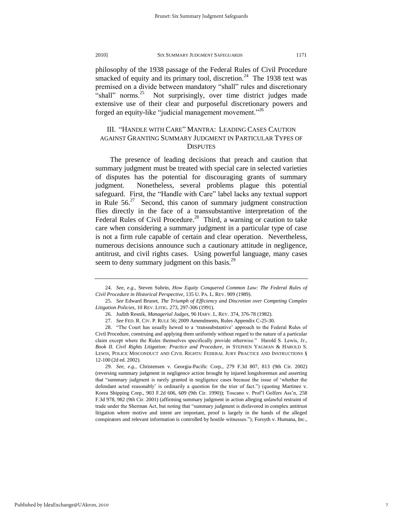philosophy of the 1938 passage of the Federal Rules of Civil Procedure smacked of equity and its primary tool, discretion.<sup>24</sup> The 1938 text was premised on a divide between mandatory "shall" rules and discretionary "shall" norms. $25$  Not surprisingly, over time district judges made extensive use of their clear and purposeful discretionary powers and forged an equity-like "judicial management movement."<sup>26</sup>

# III. "HANDLE WITH CARE" MANTRA: LEADING CASES CAUTION AGAINST GRANTING SUMMARY JUDGMENT IN PARTICULAR TYPES OF **DISPUTES**

The presence of leading decisions that preach and caution that summary judgment must be treated with special care in selected varieties of disputes has the potential for discouraging grants of summary judgment. Nonetheless, several problems plague this potential safeguard. First, the "Handle with Care" label lacks any textual support in Rule  $56<sup>27</sup>$  Second, this canon of summary judgment construction flies directly in the face of a transsubstantive interpretation of the Federal Rules of Civil Procedure.<sup>28</sup> Third, a warning or caution to take care when considering a summary judgment in a particular type of case is not a firm rule capable of certain and clear operation. Nevertheless, numerous decisions announce such a cautionary attitude in negligence, antitrust, and civil rights cases. Using powerful language, many cases seem to deny summary judgment on this basis.<sup>29</sup>

29. *See*, *e.g.*, Christensen v. Georgia-Pacific Corp., 279 F.3d 807, 813 (9th Cir. 2002) (reversing summary judgment in negligence action brought by injured longshoreman and asserting that "summary judgment is rarely granted in negligence cases because the issue of "whether the defendant acted reasonably" is ordinarily a question for the trier of fact.") (quoting Martinez v. Korea Shipping Corp., 903 F.2d 606, 609 (9th Cir. 1990)); Toscano v. Prof"l Golfers Ass"n*,* 258 F.3d 978, 982 (9th Cir. 2001) (affirming summary judgment in action alleging unlawful restraint of trade under the Sherman Act, but noting that "summary judgment is disfavored in complex antitrust litigation where motive and intent are important, proof is largely in the hands of the alleged conspirators and relevant information is controlled by hostile witnesses."); Forsyth v. Humana, Inc.,

<sup>24.</sup> *See*, *e.g.*, Steven Subrin, *How Equity Conquered Common Law: The Federal Rules of Civil Procedure in Historical Perspective*, 135 U. PA. L. REV. 909 (1989).

<sup>25.</sup> *See* Edward Brunet, *The Triumph of Efficiency and Discretion over Competing Complex Litigation Policies*, 10 REV. LITIG. 273, 297-306 (1991).

<sup>26.</sup> Judith Resnik, *Managerial Judges*, 96 HARV. L. REV. 374, 376-78 (1982).

<sup>27.</sup> *See* FED. R. CIV. P. RULE 56; 2009 Amendments, Rules Appendix C-25-30.

<sup>28. &</sup>quot;The Court has usually hewed to a "transsubstantive" approach to the Federal Rules of Civil Procedure, construing and applying them uniformly without regard to the nature of a particular claim except where the Rules themselves specifically provide otherwise." Harold S. Lewis, Jr., *Book II. Civil Rights Litigation: Practice and Procedure*, *in* STEPHEN YAGMAN & HAROLD S. LEWIS, POLICE MISCONDUCT AND CIVIL RIGHTS: FEDERAL JURY PRACTICE AND INSTRUCTIONS § 12-100 (2d ed. 2002).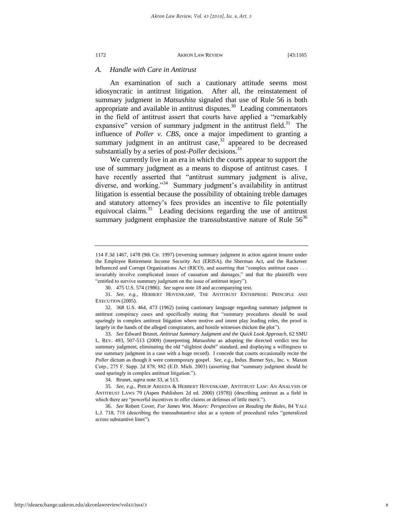# *A. Handle with Care in Antitrust*

An examination of such a cautionary attitude seems most idiosyncratic in antitrust litigation. After all, the reinstatement of summary judgment in *Matsushita* signaled that use of Rule 56 is both appropriate and available in antitrust disputes.<sup>30</sup> Leading commentators in the field of antitrust assert that courts have applied a "remarkably expansive" version of summary judgment in the antitrust field. $31$  The influence of *Poller v. CBS*, once a major impediment to granting a summary judgment in an antitrust case,<sup>32</sup> appeared to be decreased substantially by a series of post-*Poller* decisions.<sup>33</sup>

<span id="page-8-0"></span>We currently live in an era in which the courts appear to support the use of summary judgment as a means to dispose of antitrust cases. I have recently asserted that "antitrust summary judgment is alive, diverse, and working."<sup>34</sup> Summary judgment's availability in antitrust litigation is essential because the possibility of obtaining treble damages and statutory attorney"s fees provides an incentive to file potentially equivocal claims.<sup>35</sup> Leading decisions regarding the use of antitrust summary judgment emphasize the transsubstantive nature of Rule  $56<sup>36</sup>$ 

<sup>114</sup> F.3d 1467, 1478 (9th Cir. 1997) (reversing summary judgment in action against insurer under the Employee Retirement Income Security Act (ERISA), the Sherman Act, and the Racketeer Influenced and Corrupt Organizations Act (RICO), and asserting that "complex antitrust cases . . . invariably involve complicated issues of causation and damages," and that the plaintiffs were "entitled to survive summary judgment on the issue of antitrust injury").

<sup>30. 475</sup> U.S. 574 (1986). *See supra* not[e 18 a](#page-6-1)nd accompanying text.

<sup>31.</sup> *See*, *e.g.*, HERBERT HOVENKAMP, THE ANTITRUST ENTERPRISE: PRINCIPLE AND EXECUTION (2005).

<sup>32. 368</sup> U.S. 464, 473 (1962) (using cautionary language regarding summary judgment in antitrust conspiracy cases and specifically stating that "summary procedures should be used sparingly in complex antitrust litigation where motive and intent play leading roles, the proof is largely in the hands of the alleged conspirators, and hostile witnesses thicken the plot").

<sup>33.</sup> *See* Edward Brunet, *Antitrust Summary Judgment and the Quick Look Approach*, 62 SMU L. REV. 493, 507-513 (2009) (interpreting *Matsushita* as adopting the directed verdict test for summary judgment, eliminating the old "slightest doubt" standard, and displaying a willingness to use summary judgment in a case with a huge record). I concede that courts occasionally recite the *Poller* dictum as though it were contemporary gospel. *See*, *e.g.*, Indus. Burner Sys., Inc. v. Maxon Corp., 275 F. Supp. 2d 878, 882 (E.D. Mich. 2003) (asserting that "summary judgment should be used sparingly in complex antitrust litigation.").

<sup>34.</sup> Brunet, *supra* not[e 33,](#page-8-0) at 513.

<sup>35.</sup> *See*, *e.g.*, PHILIP AREEDA & HERBERT HOVENKAMP, ANTITRUST LAW: AN ANALYSIS OF ANTITRUST LAWS 79 (Aspen Publishers 2d ed. 2000) (1978)) (describing antitrust as a field in which there are "powerful incentives to offer claims or defenses of little merit.").

<sup>36.</sup> *See* Robert Cover, *For James Wm. Moore: Perspectives on Reading the Rules*, 84 YALE L.J. 718, 718 (describing the transsubstantive idea as a system of procedural rules "generalized across substantive lines").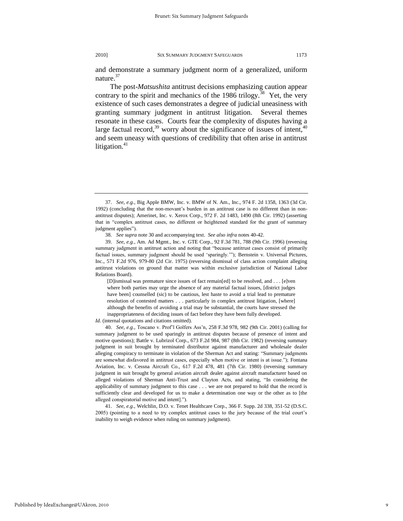and demonstrate a summary judgment norm of a generalized, uniform nature.<sup>37</sup>

The post-*Matsushita* antitrust decisions emphasizing caution appear contrary to the spirit and mechanics of the 1986 trilogy.<sup>38</sup> Yet, the very existence of such cases demonstrates a degree of judicial uneasiness with granting summary judgment in antitrust litigation. Several themes resonate in these cases. Courts fear the complexity of disputes having a large factual record,<sup>39</sup> worry about the significance of issues of intent,<sup>40</sup> and seem uneasy with questions of credibility that often arise in antitrust litigation. $41$ 

[D]ismissal was premature since issues of fact remain[ed] to be resolved, and . . . [e]ven where both parties may urge the absence of any material factual issues, [district judges have been] counselled (sic) to be cautious, lest haste to avoid a trial lead to premature resolution of contested matters . . . particularly in complex antitrust litigation, [where] although the benefits of avoiding a trial may be substantial, the courts have stressed the inappropriateness of deciding issues of fact before they have been fully developed.

*Id.* (internal quotations and citations omitted).

40. *See*, *e.g.*, Toscano v. Prof"l Golfers Ass"n*,* 258 F.3d 978, 982 (9th Cir. 2001) (calling for summary judgment to be used sparingly in antitrust disputes because of presence of intent and motive questions); Battle v. Lubrizol Corp., 673 F.2d 984, 987 (8th Cir. 1982) (reversing summary judgment in suit brought by terminated distributor against manufacturer and wholesale dealer alleging conspiracy to terminate in violation of the Sherman Act and stating: "Summary judgments are somewhat disfavored in antitrust cases, especially when motive or intent is at issue."); Fontana Aviation, Inc. v. Cessna Aircraft Co., 617 F.2d 478, 481 (7th Cir. 1980) (reversing summary judgment in suit brought by general aviation aircraft dealer against aircraft manufacturer based on alleged violations of Sherman Anti-Trust and Clayton Acts, and stating, "In considering the applicability of summary judgment to this case . . . we are not prepared to hold that the record is sufficiently clear and developed for us to make a determination one way or the other as to [the alleged conspiratorial motive and intent].").

41. *See, e.g.*, Welchlin, D.O. v. Tenet Healthcare Corp., 366 F. Supp. 2d 338, 351-52 (D.S.C. 2005) (pointing to a need to try complex antitrust cases to the jury because of the trial court"s inability to weigh evidence when ruling on summary judgment).

<sup>37.</sup> *See*, *e.g.*, Big Apple BMW, Inc. v. BMW of N. Am., Inc., 974 F. 2d 1358, 1363 (3d Cir. 1992) (concluding that the non-movant"s burden in an antitrust case is no different than in nonantitrust disputes); Amerinet, Inc. v. Xerox Corp., 972 F. 2d 1483, 1490 (8th Cir. 1992) (asserting that in "complex antitrust cases, no different or heightened standard for the grant of summary judgment applies").

<sup>38.</sup> *See supra* note 30 and accompanying text. *See also infra* notes 40-42.

<sup>39.</sup> *See*, *e.g.*, Am. Ad Mgmt., Inc. v. GTE Corp., 92 F.3d 781, 788 (9th Cir. 1996) (reversing summary judgment in antitrust action and noting that "because antitrust cases consist of primarily factual issues, summary judgment should be used "sparingly.""); Bernstein v. Universal Pictures, Inc., 571 F.2d 976, 979-80 (2d Cir. 1975) (reversing dismissal of class action complaint alleging antitrust violations on ground that matter was within exclusive jurisdiction of National Labor Relations Board).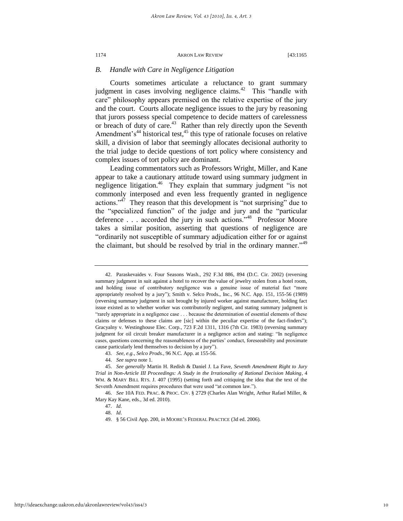## *B. Handle with Care in Negligence Litigation*

Courts sometimes articulate a reluctance to grant summary judgment in cases involving negligence claims. $42$  This "handle with care" philosophy appears premised on the relative expertise of the jury and the court. Courts allocate negligence issues to the jury by reasoning that jurors possess special competence to decide matters of carelessness or breach of duty of care.<sup>43</sup> Rather than rely directly upon the Seventh Amendment's<sup>44</sup> historical test,  $45$  this type of rationale focuses on relative skill, a division of labor that seemingly allocates decisional authority to the trial judge to decide questions of tort policy where consistency and complex issues of tort policy are dominant.

Leading commentators such as Professors Wright, Miller, and Kane appear to take a cautionary attitude toward using summary judgment in negligence litigation.<sup>46</sup> They explain that summary judgment "is not commonly interposed and even less frequently granted in negligence actions."<sup> $47$ </sup> They reason that this development is "not surprising" due to the "specialized function" of the judge and jury and the "particular deference . . . accorded the jury in such actions."<sup>48</sup> Professor Moore takes a similar position, asserting that questions of negligence are "ordinarily not susceptible of summary adjudication either for or against the claimant, but should be resolved by trial in the ordinary manner.<sup>149</sup>

<sup>42.</sup> Paraskevaides v. Four Seasons Wash., 292 F.3d 886, 894 (D.C. Cir. 2002) (reversing summary judgment in suit against a hotel to recover the value of jewelry stolen from a hotel room, and holding issue of contributory negligence was a genuine issue of material fact "more appropriately resolved by a jury"); Smith v. Selco Prods., Inc., 96 N.C. App. 151, 155-56 (1989) (reversing summary judgment in suit brought by injured worker against manufacturer, holding fact issue existed as to whether worker was contributorily negligent, and stating summary judgment is "rarely appropriate in a negligence case . . . because the determination of essential elements of these claims or defenses to these claims are [sic] within the peculiar expertise of the fact-finders"); Gracyalny v. Westinghouse Elec. Corp., 723 F.2d 1311, 1316 (7th Cir. 1983) (reversing summary judgment for oil circuit breaker manufacturer in a negligence action and stating: "In negligence cases, questions concerning the reasonableness of the parties" conduct, foreseeability and proximate cause particularly lend themselves to decision by a jury").

<sup>43.</sup> *See, e.g.*, *Selco Prods.*, 96 N.C. App. at 155-56.

<sup>44.</sup> *See supra* note 1.

<sup>45.</sup> *See generally* Martin H. Redish & Daniel J. La Fave, *Seventh Amendment Right to Jury Trial in Non-Article III Proceedings: A Study in the Irrationality of Rational Decision Making*, 4 WM. & MARY BILL RTS. J. 407 (1995) (setting forth and critiquing the idea that the text of the Seventh Amendment requires procedures that were used "at common law.").

<sup>46.</sup> *See* 10A FED. PRAC. & PROC. CIV. § 2729 (Charles Alan Wright, Arthur Rafael Miller, & Mary Kay Kane, eds., 3d ed. 2010).

<sup>47.</sup> *Id.*

<sup>48.</sup> *Id*.

<sup>49. § 56</sup> Civil App. 200, *in* MOORE"S FEDERAL PRACTICE (3d ed. 2006).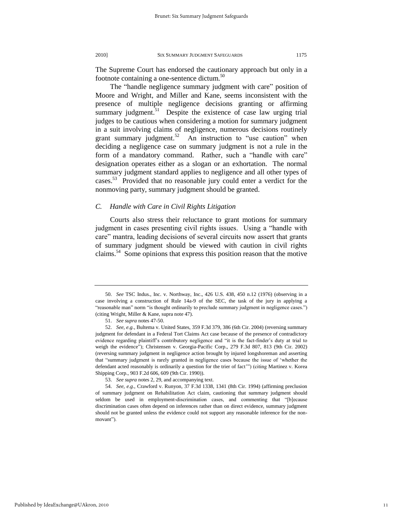The Supreme Court has endorsed the cautionary approach but only in a footnote containing a one-sentence dictum.<sup>50</sup>

The "handle negligence summary judgment with care" position of Moore and Wright, and Miller and Kane, seems inconsistent with the presence of multiple negligence decisions granting or affirming summary judgment.<sup>51</sup> Despite the existence of case law urging trial judges to be cautious when considering a motion for summary judgment in a suit involving claims of negligence, numerous decisions routinely grant summary judgment.<sup>52</sup> An instruction to "use caution" when deciding a negligence case on summary judgment is not a rule in the form of a mandatory command. Rather, such a "handle with care" designation operates either as a slogan or an exhortation. The normal summary judgment standard applies to negligence and all other types of cases.<sup>53</sup> Provided that no reasonable jury could enter a verdict for the nonmoving party, summary judgment should be granted.

# *C. Handle with Care in Civil Rights Litigation*

Courts also stress their reluctance to grant motions for summary judgment in cases presenting civil rights issues. Using a "handle with care" mantra, leading decisions of several circuits now assert that grants of summary judgment should be viewed with caution in civil rights claims.<sup>54</sup> Some opinions that express this position reason that the motive

<sup>50.</sup> *See* TSC Indus., Inc. v. Northway, Inc., 426 U.S. 438, 450 n.12 (1976) (observing in a case involving a construction of Rule 14a-9 of the SEC, the task of the jury in applying a "reasonable man" norm "is thought ordinarily to preclude summary judgment in negligence cases.") (citing Wright, Miller & Kane, supra note 47).

<sup>51.</sup> *See supra* notes 47-50.

<sup>52.</sup> *See, e.g.*, Bultema v. United States, 359 F.3d 379, 386 (6th Cir. 2004) (reversing summary judgment for defendant in a Federal Tort Claims Act case because of the presence of contradictory evidence regarding plaintiff"s contributory negligence and "it is the fact-finder"s duty at trial to weigh the evidence"); Christensen v. Georgia-Pacific Corp., 279 F.3d 807, 813 (9th Cir. 2002) (reversing summary judgment in negligence action brought by injured longshoreman and asserting that "summary judgment is rarely granted in negligence cases because the issue of "whether the defendant acted reasonably is ordinarily a question for the trier of fact"") (citing Martinez v. Korea Shipping Corp., 903 F.2d 606, 609 (9th Cir. 1990)).

<sup>53.</sup> *See supra* notes 2, 29, and accompanying text.

<sup>54.</sup> *See, e.g.*, Crawford v. Runyon, 37 F.3d 1338, 1341 (8th Cir. 1994) (affirming preclusion of summary judgment on Rehabilitation Act claim, cautioning that summary judgment should seldom be used in employment-discrimination cases, and commenting that "[b]ecause discrimination cases often depend on inferences rather than on direct evidence, summary judgment should not be granted unless the evidence could not support any reasonable inference for the nonmovant").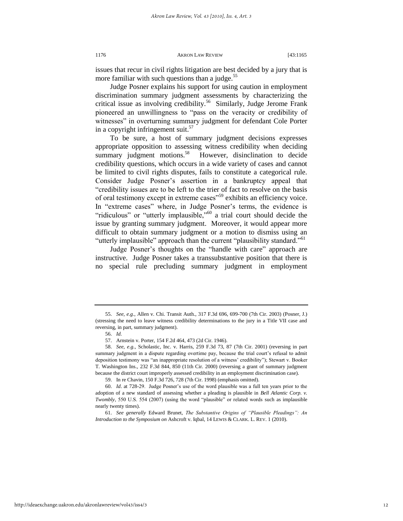issues that recur in civil rights litigation are best decided by a jury that is more familiar with such questions than a judge. $55$ 

Judge Posner explains his support for using caution in employment discrimination summary judgment assessments by characterizing the critical issue as involving credibility.<sup>56</sup> Similarly, Judge Jerome Frank pioneered an unwillingness to "pass on the veracity or credibility of witnesses" in overturning summary judgment for defendant Cole Porter in a copyright infringement suit. $57$ 

To be sure, a host of summary judgment decisions expresses appropriate opposition to assessing witness credibility when deciding summary judgment motions.<sup>58</sup> However, disinclination to decide credibility questions, which occurs in a wide variety of cases and cannot be limited to civil rights disputes, fails to constitute a categorical rule. Consider Judge Posner"s assertion in a bankruptcy appeal that "credibility issues are to be left to the trier of fact to resolve on the basis of oral testimony except in extreme cases"<sup>59</sup> exhibits an efficiency voice. In "extreme cases" where, in Judge Posner's terms, the evidence is "ridiculous" or "utterly implausible,"<sup>60</sup> a trial court should decide the issue by granting summary judgment. Moreover, it would appear more difficult to obtain summary judgment or a motion to dismiss using an "utterly implausible" approach than the current "plausibility standard."<sup>61</sup>

Judge Posner"s thoughts on the "handle with care" approach are instructive. Judge Posner takes a transsubstantive position that there is no special rule precluding summary judgment in employment

59. In re Chavin, 150 F.3d 726, 728 (7th Cir. 1998) (emphasis omitted).

<sup>55.</sup> *See, e.g.*, Allen v. Chi. Transit Auth., 317 F.3d 696, 699-700 (7th Cir. 2003) (Posner, J.) (stressing the need to leave witness credibility determinations to the jury in a Title VII case and reversing, in part, summary judgment).

<sup>56.</sup> *Id.* 

<sup>57.</sup> Arnstein v. Porter, 154 F.2d 464, 473 (2d Cir. 1946).

<sup>58.</sup> *See, e.g.*, Scholastic, Inc. v. Harris, 259 F.3d 73, 87 (7th Cir. 2001) (reversing in part summary judgment in a dispute regarding overtime pay, because the trial court's refusal to admit deposition testimony was "an inappropriate resolution of a witness' credibility"); Stewart v. Booker T. Washington Ins., 232 F.3d 844, 850 (11th Cir. 2000) (reversing a grant of summary judgment because the district court improperly assessed credibility in an employment discrimination case).

<sup>60.</sup> *Id*. at 728-29. Judge Posner"s use of the word plausible was a full ten years prior to the adoption of a new standard of assessing whether a pleading is plausible in *Bell Atlantic Corp. v. Twombly*, 550 U.S. 554 (2007) (using the word "plausible" or related words such as implausible nearly twenty times).

<sup>61.</sup> *See generally* Edward Brunet, *The Substantive Origins of "Plausible Pleadings": An Introduction to the Symposium on* Ashcroft v. Iqbal, 14 LEWIS & CLARK. L. REV. 1 (2010).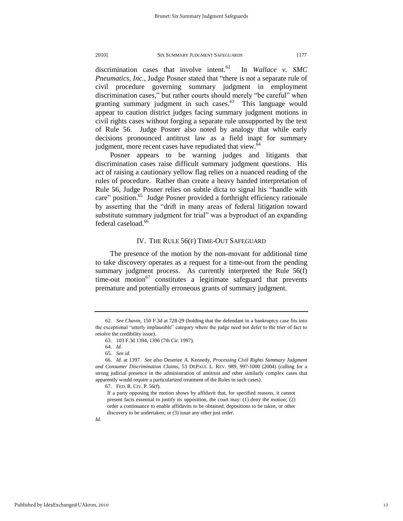discrimination cases that involve intent.<sup>62</sup> In *Wallace v. SMC Pneumatics, Inc.*, Judge Posner stated that "there is not a separate rule of civil procedure governing summary judgment in employment discrimination cases," but rather courts should merely "be careful" when granting summary judgment in such cases.<sup>63</sup> This language would appear to caution district judges facing summary judgment motions in civil rights cases without forging a separate rule unsupported by the text of Rule 56. Judge Posner also noted by analogy that while early decisions pronounced antitrust law as a field inapt for summary judgment, more recent cases have repudiated that view.<sup>64</sup>

Posner appears to be warning judges and litigants that discrimination cases raise difficult summary judgment questions. His act of raising a cautionary yellow flag relies on a nuanced reading of the rules of procedure. Rather than create a heavy handed interpretation of Rule 56, Judge Posner relies on subtle dicta to signal his "handle with care" position.<sup>65</sup> Judge Posner provided a forthright efficiency rationale by asserting that the "drift in many areas of federal litigation toward substitute summary judgment for trial" was a byproduct of an expanding federal caseload.<sup>66</sup>

# IV. THE RULE 56(F) TIME-OUT SAFEGUARD

The presence of the motion by the non-movant for additional time to take discovery operates as a request for a time-out from the pending summary judgment process. As currently interpreted the Rule 56(f) time-out motion<sup>67</sup> constitutes a legitimate safeguard that prevents premature and potentially erroneous grants of summary judgment.

<sup>62.</sup> *See Chavin*, 150 F.3d at 728-29 (holding that the defendant in a bankruptcy case fits into the exceptional "utterly implausible" category where the judge need not defer to the trier of fact to resolve the credibility issue).

<sup>63. 103</sup> F.3d 1394, 1396 (7th Cir. 1997).

<sup>64.</sup> *Id.*

<sup>65.</sup> *See id.*

<sup>66.</sup> *Id.* at 1397. *See also* Deseriee A. Kennedy, *Processing Civil Rights Summary Judgment and Consumer Discrimination Claims*, 53 DEPAUL L. REV. 989, 997-1000 (2004) (calling for a strong judicial presence in the administration of antitrust and other similarly complex cases that apparently would require a particularized treatment of the Rules in such cases).

<sup>67.</sup> FED. R. CIV. P. 56(f).

If a party opposing the motion shows by affidavit that, for specified reasons, it cannot present facts essential to justify its opposition, the court may: (1) deny the motion; (2) order a continuance to enable affidavits to be obtained, depositions to be taken, or other discovery to be undertaken; or (3) issue any other just order.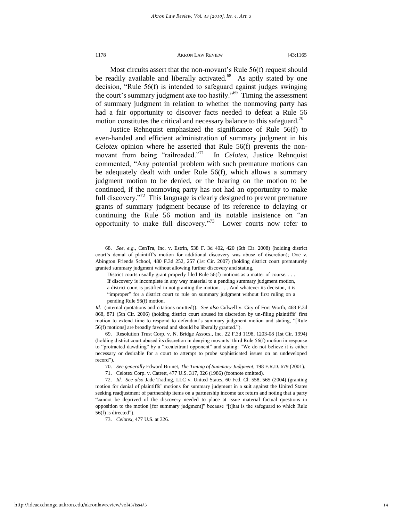Most circuits assert that the non-movant's Rule 56(f) request should be readily available and liberally activated.<sup>68</sup> As aptly stated by one decision, "Rule 56(f) is intended to safeguard against judges swinging the court's summary judgment axe too hastily." $69$  Timing the assessment of summary judgment in relation to whether the nonmoving party has had a fair opportunity to discover facts needed to defeat a Rule 56 motion constitutes the critical and necessary balance to this safeguard.<sup>70</sup>

Justice Rehnquist emphasized the significance of Rule 56(f) to even-handed and efficient administration of summary judgment in his *Celotex* opinion where he asserted that Rule 56(f) prevents the nonmovant from being "railroaded."<sup>71</sup> In *Celotex*, Justice Rehnquist commented, "Any potential problem with such premature motions can be adequately dealt with under Rule 56(f), which allows a summary judgment motion to be denied, or the hearing on the motion to be continued, if the nonmoving party has not had an opportunity to make full discovery."<sup>72</sup> This language is clearly designed to prevent premature grants of summary judgment because of its reference to delaying or continuing the Rule 56 motion and its notable insistence on "an opportunity to make full discovery."<sup>73</sup> Lower courts now refer to

*Id.* (internal quotations and citations omitted)). *See also* Culwell v. City of Fort Worth, 468 F.3d 868, 871 (5th Cir. 2006) (holding district court abused its discretion by un-filing plaintiffs" first motion to extend time to respond to defendant's summary judgment motion and stating, "[Rule 56(f) motions] are broadly favored and should be liberally granted.").

69. Resolution Trust Corp. v. N. Bridge Assocs., Inc. 22 F.3d 1198, 1203-08 (1st Cir. 1994) (holding district court abused its discretion in denying movants" third Rule 56(f) motion in response to "protracted dawdling" by a "recalcitrant opponent" and stating: "We do not believe it is either necessary or desirable for a court to attempt to probe sophisticated issues on an undeveloped record").

73. *Celotex*, 477 U.S. at 326.

<sup>68.</sup> *See, e.g.*, CenTra, Inc. v. Estrin, 538 F. 3d 402, 420 (6th Cir. 2008) (holding district court"s denial of plaintiff"s motion for additional discovery was abuse of discretion); Doe v. Abington Friends School*,* 480 F.3d 252, 257 (1st Cir. 2007) (holding district court prematurely granted summary judgment without allowing further discovery and stating,

District courts usually grant properly filed Rule 56(f) motions as a matter of course. . . .

If discovery is incomplete in any way material to a pending summary judgment motion, a district court is justified in not granting the motion. . . . And whatever its decision, it is "improper" for a district court to rule on summary judgment without first ruling on a pending Rule 56(f) motion.

<sup>70.</sup> *See generally* Edward Brunet, *The Timing of Summary Judgment*, 198 F.R.D. 679 (2001).

<sup>71.</sup> Celotex Corp. v. Catrett, 477 U.S. 317, 326 (1986) (footnote omitted).

<sup>72.</sup> *Id. See also* Jade Trading, LLC v. United States, 60 Fed. Cl. 558, 565 (2004) (granting motion for denial of plaintiffs" motions for summary judgment in a suit against the United States seeking readjustment of partnership items on a partnership income tax return and noting that a party "cannot be deprived of the discovery needed to place at issue material factual questions in opposition to the motion [for summary judgment]" because "[t]hat is the safeguard to which Rule 56(f) is directed").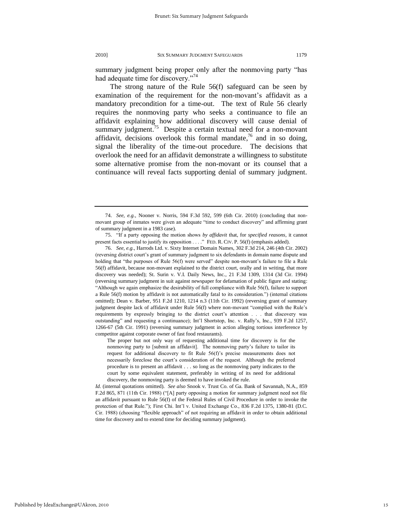summary judgment being proper only after the nonmoving party "has had adequate time for discovery."<sup>74</sup>

The strong nature of the Rule 56(f) safeguard can be seen by examination of the requirement for the non-movant's affidavit as a mandatory precondition for a time-out. The text of Rule 56 clearly requires the nonmoving party who seeks a continuance to file an affidavit explaining how additional discovery will cause denial of summary judgment.<sup>75</sup> Despite a certain textual need for a non-movant affidavit, decisions overlook this formal mandate, $7<sup>6</sup>$  and in so doing, signal the liberality of the time-out procedure. The decisions that overlook the need for an affidavit demonstrate a willingness to substitute some alternative promise from the non-movant or its counsel that a continuance will reveal facts supporting denial of summary judgment.

The proper but not only way of requesting additional time for discovery is for the nonmoving party to [submit an affidavit]. The nonmoving party's failure to tailor its request for additional discovery to fit Rule 56(f)'s precise measurements does not necessarily foreclose the court's consideration of the request. Although the preferred procedure is to present an affidavit . . . so long as the nonmoving party indicates to the court by some equivalent statement, preferably in writing of its need for additional discovery, the nonmoving party is deemed to have invoked the rule.

*Id.* (internal quotations omitted). *See also* Snook v. Trust Co. of Ga. Bank of Savannah, N.A., 859 F.2d 865, 871 (11th Cir. 1988) ("[A] party opposing a motion for summary judgment need not file an affidavit pursuant to Rule 56(f) of the Federal Rules of Civil Procedure in order to invoke the protection of that Rule."); First Chi. Int'l v. United Exchange Co., 836 F.2d 1375, 1380-81 (D.C. Cir. 1988) (choosing "flexible approach" of not requiring an affidavit in order to obtain additional time for discovery and to extend time for deciding summary judgment).

<sup>74.</sup> *See, e.g.*, Nooner v. Norris, 594 F.3d 592, 599 (6th Cir. 2010) (concluding that nonmovant group of inmates were given an adequate "time to conduct discovery" and affirming grant of summary judgment in a 1983 case).

<sup>75. &</sup>quot;If a party opposing the motion shows *by affidavit* that, for *specified reasons*, it cannot present facts essential to justify its opposition . . . ." FED. R. CIV. P. 56(f) (emphasis added).

<sup>76.</sup> *See, e.g.*, Harrods Ltd. v. Sixty Internet Domain Names, 302 F.3d 214, 246 (4th Cir. 2002) (reversing district court"s grant of summary judgment to six defendants in domain name dispute and holding that "the purposes of Rule 56(f) were served" despite non-movant's failure to file a Rule 56(f) affidavit, because non-movant explained to the district court, orally and in writing, that more discovery was needed); St. Surin v. V.I. Daily News, Inc., 21 F.3d 1309, 1314 (3d Cir. 1994) (reversing summary judgment in suit against newspaper for defamation of public figure and stating: "Although we again emphasize the desirability of full compliance with Rule 56(f), failure to support a Rule 56(f) motion by affidavit is not automatically fatal to its consideration.") (internal citations omitted); Dean v. Barber, 951 F.2d 1210, 1214 n.3 (11th Cir. 1992) (reversing grant of summary judgment despite lack of affidavit under Rule 56(f) where non-movant "complied with the Rule"s requirements by expressly bringing to the district court"s attention . . . that discovery was outstanding" and requesting a continuance); Int'l Shortstop, Inc. v. Rally's, Inc., 939 F.2d 1257, 1266-67 (5th Cir. 1991) (reversing summary judgment in action alleging tortious interference by competitor against corporate owner of fast food restaurants).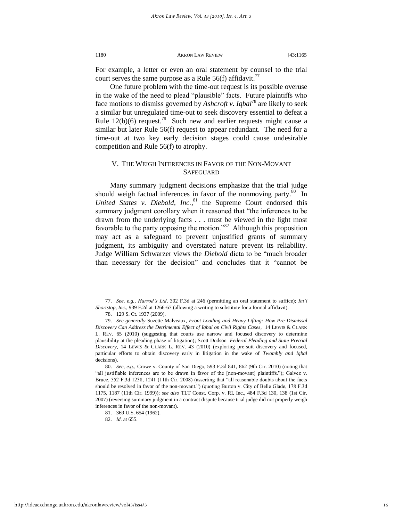For example, a letter or even an oral statement by counsel to the trial court serves the same purpose as a Rule 56(f) affidavit.<sup>77</sup>

One future problem with the time-out request is its possible overuse in the wake of the need to plead "plausible" facts. Future plaintiffs who face motions to dismiss governed by *Ashcroft v. Iqbal*<sup>78</sup> are likely to seek a similar but unregulated time-out to seek discovery essential to defeat a Rule  $12(b)(6)$  request.<sup>79</sup> Such new and earlier requests might cause a similar but later Rule 56(f) request to appear redundant. The need for a time-out at two key early decision stages could cause undesirable competition and Rule 56(f) to atrophy.

# <span id="page-16-0"></span>V. THE WEIGH INFERENCES IN FAVOR OF THE NON-MOVANT **SAFEGUARD**

Many summary judgment decisions emphasize that the trial judge should weigh factual inferences in favor of the nonmoving party. $80$  In United States v. Diebold, Inc.,<sup>81</sup> the Supreme Court endorsed this summary judgment corollary when it reasoned that "the inferences to be drawn from the underlying facts . . . must be viewed in the light most favorable to the party opposing the motion."<sup>82</sup> Although this proposition may act as a safeguard to prevent unjustified grants of summary judgment, its ambiguity and overstated nature prevent its reliability. Judge William Schwarzer views the *Diebold* dicta to be "much broader than necessary for the decision" and concludes that it "cannot be

<sup>77.</sup> *See, e.g.*, *Harrod's Ltd*, 302 F.3d at 246 (permitting an oral statement to suffice); *Int'l Shortstop, Inc.*, 939 F.2d at 1266-67 (allowing a writing to substitute for a formal affidavit).

<sup>78. 129</sup> S. Ct. 1937 (2009).

<sup>79.</sup> *See generally* Suzette Malveaux, *Front Loading and Heavy Lifting: How Pre-Dismissal Discovery Can Address the Detrimental Effect of Iqbal on Civil Rights Cases*, 14 LEWIS & CLARK L. REV. 65 (2010) (suggesting that courts use narrow and focused discovery to determine plausibility at the pleading phase of litigation); Scott Dodson *Federal Pleading and State Pretrial Discovery,* 14 LEWIS & CLARK L. REV. 43 (2010) (exploring pre-suit discovery and focused, particular efforts to obtain discovery early in litigation in the wake of *Twombly and Iqbal*  decisions).

<sup>80.</sup> *See, e.g.*, Crowe v. County of San Diego, 593 F.3d 841, 862 (9th Cir. 2010) (noting that "all justifiable inferences are to be drawn in favor of the [non-movant] plaintiffs."); Galvez v. Bruce, 552 F.3d 1238, 1241 (11th Cir. 2008) (asserting that "all reasonable doubts about the facts should be resolved in favor of the non-movant.") (quoting Burton v. City of Belle Glade, 178 F.3d 1175, 1187 (11th Cir. 1999)); *see also* TLT Const. Corp. v. RI, Inc., 484 F.3d 130, 138 (1st Cir. 2007) (reversing summary judgment in a contract dispute because trial judge did not properly weigh inferences in favor of the non-movant).

<sup>81. 369</sup> U.S. 654 (1962).

<sup>82.</sup> *Id.* at 655.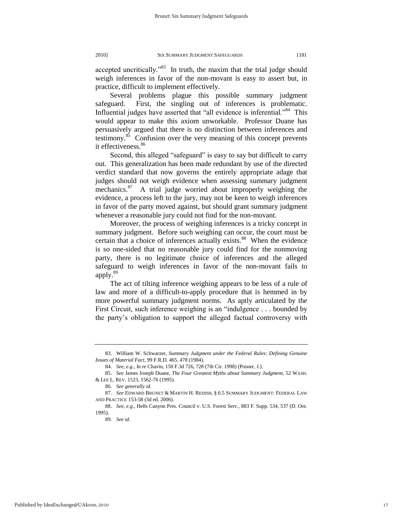accepted uncritically."<sup>83</sup> In truth, the maxim that the trial judge should weigh inferences in favor of the non-movant is easy to assert but, in practice, difficult to implement effectively.

Several problems plague this possible summary judgment safeguard. First, the singling out of inferences is problematic. Influential judges have asserted that "all evidence is inferential."<sup>84</sup> This would appear to make this axiom unworkable. Professor Duane has persuasively argued that there is no distinction between inferences and testimony. $85$  Confusion over the very meaning of this concept prevents it effectiveness.<sup>86</sup>

<span id="page-17-0"></span>Second, this alleged "safeguard" is easy to say but difficult to carry out. This generalization has been made redundant by use of the directed verdict standard that now governs the entirely appropriate adage that judges should not weigh evidence when assessing summary judgment mechanics.<sup>87</sup> A trial judge worried about improperly weighing the evidence, a process left to the jury, may not be keen to weigh inferences in favor of the party moved against, but should grant summary judgment whenever a reasonable jury could not find for the non-movant.

Moreover, the process of weighing inferences is a tricky concept in summary judgment. Before such weighing can occur, the court must be certain that a choice of inferences actually exists.<sup>88</sup> When the evidence is so one-sided that no reasonable jury could find for the nonmoving party, there is no legitimate choice of inferences and the alleged safeguard to weigh inferences in favor of the non-movant fails to apply.<sup>89</sup>

The act of tilting inference weighing appears to be less of a rule of law and more of a difficult-to-apply procedure that is hemmed in by more powerful summary judgment norms. As aptly articulated by the First Circuit, such inference weighing is an "indulgence . . . bounded by the party"s obligation to support the alleged factual controversy with

<sup>83.</sup> William W. Schwarzer, *Summary Judgment under the Federal Rules: Defining Genuine Issues of Material Fact*, 99 F.R.D. 465, 478 (1984).

<sup>84.</sup> *See, e.g.*, In re Chavin, 150 F.3d 726, 728 (7th Cir. 1998) (Posner, J.).

<sup>85.</sup> *See* James Joseph Duane, *The Four Greatest Myths about Summary Judgment*, 52 WASH. & LEE L. REV. 1523, 1562-76 (1995).

<sup>86.</sup> *See generally id.*

<sup>87.</sup> *See* EDWARD BRUNET & MARTIN H. REDISH, § 6.5 SUMMARY JUDGMENT: FEDERAL LAW AND PRACTICE 153-58 (3d ed. 2006).

<sup>88.</sup> *See, e.g.*, Hells Canyon Pres. Council v. U.S. Forest Serv., 883 F. Supp. 534, 537 (D. Ore. 1995).

<sup>89.</sup> *See id.*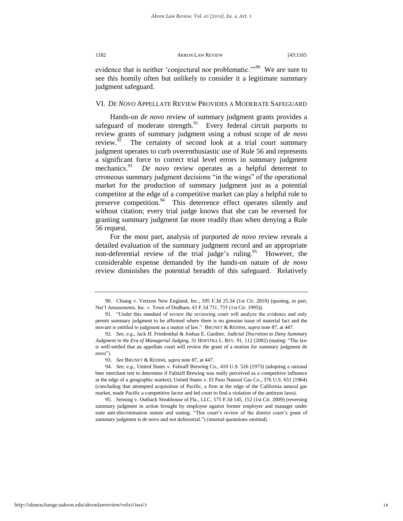evidence that is neither 'conjectural nor problematic."<sup>90</sup> We are sure to see this homily often but unlikely to consider it a legitimate summary judgment safeguard.

## VI. *DE NOVO* APPELLATE REVIEW PROVIDES A MODERATE SAFEGUARD

Hands-on *de novo* review of summary judgment grants provides a safeguard of moderate strength. $91$  Every federal circuit purports to review grants of summary judgment using a robust scope of *de novo* review. $92$  The certainty of second look at a trial court summary judgment operates to curb overenthusiastic use of Rule 56 and represents a significant force to correct trial level errors in summary judgment mechanics. $93$  *De novo* review operates as a helpful deterrent to erroneous summary judgment decisions "in the wings" of the operational market for the production of summary judgment just as a potential competitor at the edge of a competitive market can play a helpful role to preserve competition.<sup>94</sup> This deterrence effect operates silently and without citation; every trial judge knows that she can be reversed for granting summary judgment far more readily than when denying a Rule 56 request.

For the most part, analysis of purported *de novo* review reveals a detailed evaluation of the summary judgment record and an appropriate non-deferential review of the trial judge's ruling.<sup>95</sup> However, the considerable expense demanded by the hands-on nature of *de novo*  review diminishes the potential breadth of this safeguard. Relatively

<sup>90.</sup> Chiang v. Verizon New England, Inc., 595 F.3d 25.34 (1st Cir. 2010) (quoting, in part, Nat"l Amusements, Inc. v. Town of Dedham, 43 F.3d 731, 735 (1st Cir. 1995)).

<sup>91. &</sup>quot;Under this standard of review the reviewing court will analyze the evidence and only permit summary judgment to be affirmed where there is no genuine issue of material fact and the movant is entitled to judgment as a matter of law." BRUNET & REDISH, *supra* note 87, at 447.

<sup>92.</sup> *See*, *e.g.*, Jack H. Friedenthal & Joshua E. Gardner, *Judicial Discretion to Deny Summary Judgment in the Era of Managerial Judging*, 31 HOFSTRA L. REV. 91, 112 (2002) (stating: "The law is well-settled that an appellate court will review the grant of a motion for summary judgment de novo").

<sup>93.</sup> *See* BRUNET & REDISH, *supra* note 87, at 447.

<sup>94.</sup> *See*, *e.g.*, United States v. Falstaff Brewing Co., 410 U.S. 526 (1973) (adopting a rational beer merchant test to determine if Falstaff Brewing was really perceived as a competitive influence at the edge of a geographic market); United States v. El Paso Natural Gas Co., 376 U.S. 651 (1964) (concluding that attempted acquisition of Pacific, a firm at the edge of the California natural gas market, made Pacific a competitive factor and led court to find a violation of the antitrust laws).

<sup>95.</sup> Sensing v. Outback Steakhouse of Fla., LLC, 575 F.3d 145, 152 (1st Cir. 2009) (reversing summary judgment in action brought by employee against former employer and manager under state anti-discrimination statute and stating: "This court's review of the district court's grant of summary judgment is de novo and not deferential.") (internal quotations omitted).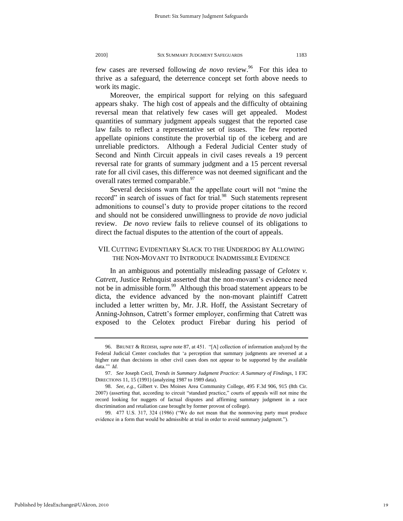few cases are reversed following *de novo* review.<sup>96</sup> For this idea to thrive as a safeguard, the deterrence concept set forth above needs to work its magic.

Moreover, the empirical support for relying on this safeguard appears shaky. The high cost of appeals and the difficulty of obtaining reversal mean that relatively few cases will get appealed. Modest quantities of summary judgment appeals suggest that the reported case law fails to reflect a representative set of issues. The few reported appellate opinions constitute the proverbial tip of the iceberg and are unreliable predictors. Although a Federal Judicial Center study of Second and Ninth Circuit appeals in civil cases reveals a 19 percent reversal rate for grants of summary judgment and a 15 percent reversal rate for all civil cases, this difference was not deemed significant and the overall rates termed comparable.<sup>97</sup>

Several decisions warn that the appellate court will not "mine the record" in search of issues of fact for trial.<sup>98</sup> Such statements represent admonitions to counsel"s duty to provide proper citations to the record and should not be considered unwillingness to provide *de novo* judicial review. *De novo* review fails to relieve counsel of its obligations to direct the factual disputes to the attention of the court of appeals.

# VII. CUTTING EVIDENTIARY SLACK TO THE UNDERDOG BY ALLOWING THE NON-MOVANT TO INTRODUCE INADMISSIBLE EVIDENCE

In an ambiguous and potentially misleading passage of *Celotex v. Catrett*, Justice Rehnquist asserted that the non-movant's evidence need not be in admissible form.<sup>99</sup> Although this broad statement appears to be dicta, the evidence advanced by the non-movant plaintiff Catrett included a letter written by, Mr. J.R. Hoff, the Assistant Secretary of Anning-Johnson, Catrett's former employer, confirming that Catrett was exposed to the Celotex product Firebar during his period of

<sup>96.</sup> BRUNET & REDISH, *supra* not[e 87,](#page-17-0) at 451. "[A] collection of information analyzed by the Federal Judicial Center concludes that 'a perception that summary judgments are reversed at a higher rate than decisions in other civil cases does not appear to be supported by the available data."" *Id.*

<sup>97.</sup> *See* Joseph Cecil, *Trends in Summary Judgment Practice: A Summary of Findings*, 1 FJC DIRECTIONS 11, 15 (1991) (analyzing 1987 to 1989 data).

<sup>98.</sup> *See, e.g.*, Gilbert v. Des Moines Area Community College, 495 F.3d 906, 915 (8th Cir. 2007) (asserting that, according to circuit "standard practice," courts of appeals will not mine the record looking for nuggets of factual disputes and affirming summary judgment in a race discrimination and retaliation case brought by former provost of college).

<sup>99. 477</sup> U.S. 317, 324 (1986) ("We do not mean that the nonmoving party must produce evidence in a form that would be admissible at trial in order to avoid summary judgment.").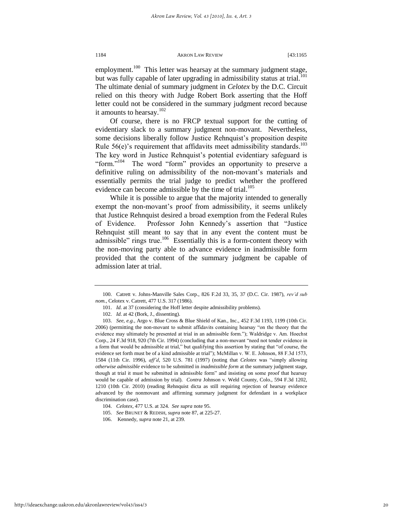employment.<sup>100</sup> This letter was hearsay at the summary judgment stage, but was fully capable of later upgrading in admissibility status at trial.<sup>101</sup> The ultimate denial of summary judgment in *Celotex* by the D.C. Circuit relied on this theory with Judge Robert Bork asserting that the Hoff letter could not be considered in the summary judgment record because it amounts to hearsay.<sup>102</sup>

Of course, there is no FRCP textual support for the cutting of evidentiary slack to a summary judgment non-movant. Nevertheless, some decisions liberally follow Justice Rehnquist's proposition despite Rule  $56(e)$ 's requirement that affidavits meet admissibility standards.<sup>103</sup> The key word in Justice Rehnquist's potential evidentiary safeguard is "form."<sup>104</sup> The word "form" provides an opportunity to preserve a definitive ruling on admissibility of the non-movant's materials and essentially permits the trial judge to predict whether the proffered evidence can become admissible by the time of trial.<sup>105</sup>

While it is possible to argue that the majority intended to generally exempt the non-movant's proof from admissibility, it seems unlikely that Justice Rehnquist desired a broad exemption from the Federal Rules of Evidence. Professor John Kennedy"s assertion that "Justice Rehnquist still meant to say that in any event the content must be admissible" rings true.<sup>106</sup> Essentially this is a form-content theory with the non-moving party able to advance evidence in inadmissible form provided that the content of the summary judgment be capable of admission later at trial.

<sup>100.</sup> Catrett v. Johns-Manville Sales Corp., 826 F.2d 33, 35, 37 (D.C. Cir. 1987), *rev'd sub nom.*, Celotex v. Catrett, 477 U.S. 317 (1986).

<sup>101.</sup> *Id.* at 37 (considering the Hoff letter despite admissibility problems).

<sup>102.</sup> *Id.* at 42 (Bork, J., dissenting).

<sup>103.</sup> *See, e.g.*, Argo v. Blue Cross & Blue Shield of Kan., Inc., 452 F.3d 1193, 1199 (10th Cir. 2006) (permitting the non-movant to submit affidavits containing hearsay "on the theory that the evidence may ultimately be presented at trial in an admissible form."); Waldridge v. Am. Hoechst Corp., 24 F.3d 918, 920 (7th Cir. 1994) (concluding that a non-movant "need not tender evidence in a form that would be admissible at trial," but qualifying this assertion by stating that "of course, the evidence set forth must be of a kind admissible at trial"); McMillan v. W. E. Johnson, 88 F.3d 1573, 1584 (11th Cir. 1996), *aff'd*, 520 U.S. 781 (1997) (noting that *Celotex* was "simply allowing *otherwise admissible* evidence to be submitted in *inadmissible form* at the summary judgment stage, though at trial it must be submitted in admissible form" and insisting on some proof that hearsay would be capable of admission by trial). *Contra* Johnson v. Weld County, Colo., 594 F.3d 1202, 1210 (10th Cir. 2010) (reading Rehnquist dicta as still requiring rejection of hearsay evidence advanced by the nonmovant and affirming summary judgment for defendant in a workplace discrimination case).

<sup>104.</sup> *Celotex*, 477 U.S. at 324. *See supra* note 95.

<sup>105.</sup> *See* BRUNET & REDISH, *supra* not[e 87,](#page-17-0) at 225-27.

<sup>106.</sup> Kennedy, *supra* not[e 21,](#page-6-2) at 239.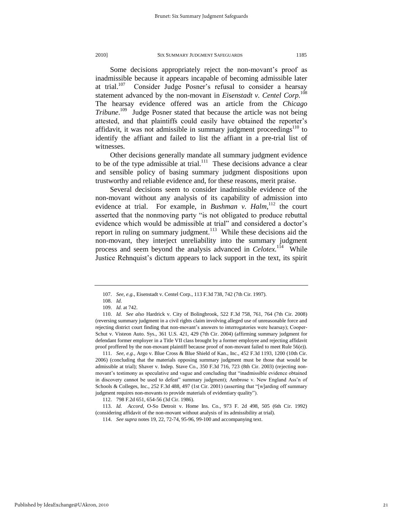Some decisions appropriately reject the non-movant's proof as inadmissible because it appears incapable of becoming admissible later at trial. $107$  Consider Judge Posner"s refusal to consider a hearsay statement advanced by the non-movant in *Eisenstadt v. Centel Corp.*<sup>108</sup> The hearsay evidence offered was an article from the *Chicago*  Tribune.<sup>109</sup> Judge Posner stated that because the article was not being attested, and that plaintiffs could easily have obtained the reporter"s affidavit, it was not admissible in summary judgment proceedings<sup>110</sup> to identify the affiant and failed to list the affiant in a pre-trial list of witnesses.

Other decisions generally mandate all summary judgment evidence to be of the type admissible at trial.<sup>111</sup> These decisions advance a clear and sensible policy of basing summary judgment dispositions upon trustworthy and reliable evidence and, for these reasons, merit praise.

Several decisions seem to consider inadmissible evidence of the non-movant without any analysis of its capability of admission into evidence at trial. For example, in *Bushman v. Halm*,<sup>112</sup> the court asserted that the nonmoving party "is not obligated to produce rebuttal evidence which would be admissible at trial" and considered a doctor"s report in ruling on summary judgment.<sup>113</sup> While these decisions aid the non-movant, they interject unreliability into the summary judgment process and seem beyond the analysis advanced in *Celotex.*<sup>114</sup> While Justice Rehnquist's dictum appears to lack support in the text, its spirit

111. *See, e.g.*, Argo v. Blue Cross & Blue Shield of Kan., Inc., 452 F.3d 1193, 1200 (10th Cir. 2006) (concluding that the materials opposing summary judgment must be those that would be admissible at trial); Shaver v. Indep. Stave Co., 350 F.3d 716, 723 (8th Cir. 2003) (rejecting nonmovant"s testimony as speculative and vague and concluding that "inadmissible evidence obtained in discovery cannot be used to defeat" summary judgment); Ambrose v. New England Ass'n of Schools & Colleges, Inc., 252 F.3d 488, 497 (1st Cir. 2001) (asserting that "[w]arding off summary judgment requires non-movants to provide materials of evidentiary quality").

<sup>107.</sup> *See, e.g.*, Eisenstadt v. Centel Corp., 113 F.3d 738, 742 (7th Cir. 1997).

<sup>108.</sup> *Id.*

<sup>109.</sup> *Id.* at 742.

<sup>110.</sup> *Id. See also* Hardrick v. City of Bolingbrook, 522 F.3d 758, 761, 764 (7th Cir. 2008) (reversing summary judgment in a civil rights claim involving alleged use of unreasonable force and rejecting district court finding that non-movant"s answers to interrogatories were hearsay); Cooper-Schut v. Visteon Auto. Sys., 361 U.S. 421, 429 (7th Cir. 2004) (affirming summary judgment for defendant former employer in a Title VII class brought by a former employee and rejecting affidavit proof proffered by the non-movant plaintiff because proof of non-movant failed to meet Rule 56(e)).

<sup>112. 798</sup> F.2d 651, 654-56 (3d Cir. 1986).

<sup>113.</sup> *Id. Accord*, O-So Detroit v. Home Ins. Co., 973 F. 2d 498, 505 (6th Cir. 1992) (considering affidavit of the non-movant without analysis of its admissibility at trial).

<sup>114.</sup> *See supra* notes 19, 22, 72-74, 95-96, 99-100 and accompanying text.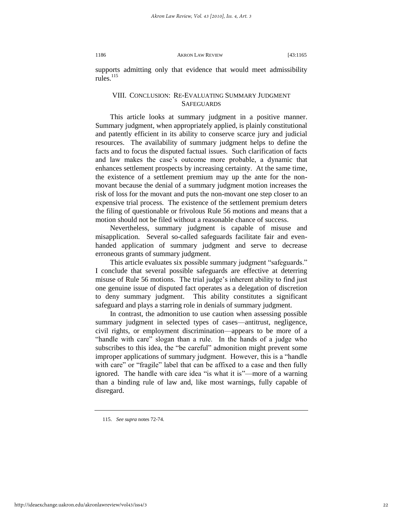supports admitting only that evidence that would meet admissibility rules $^{115}$ 

# VIII. CONCLUSION: RE-EVALUATING SUMMARY JUDGMENT **SAFEGUARDS**

This article looks at summary judgment in a positive manner. Summary judgment, when appropriately applied, is plainly constitutional and patently efficient in its ability to conserve scarce jury and judicial resources. The availability of summary judgment helps to define the facts and to focus the disputed factual issues. Such clarification of facts and law makes the case's outcome more probable, a dynamic that enhances settlement prospects by increasing certainty. At the same time, the existence of a settlement premium may up the ante for the nonmovant because the denial of a summary judgment motion increases the risk of loss for the movant and puts the non-movant one step closer to an expensive trial process. The existence of the settlement premium deters the filing of questionable or frivolous Rule 56 motions and means that a motion should not be filed without a reasonable chance of success.

Nevertheless, summary judgment is capable of misuse and misapplication. Several so-called safeguards facilitate fair and evenhanded application of summary judgment and serve to decrease erroneous grants of summary judgment.

This article evaluates six possible summary judgment "safeguards." I conclude that several possible safeguards are effective at deterring misuse of Rule 56 motions. The trial judge's inherent ability to find just one genuine issue of disputed fact operates as a delegation of discretion to deny summary judgment. This ability constitutes a significant safeguard and plays a starring role in denials of summary judgment.

In contrast, the admonition to use caution when assessing possible summary judgment in selected types of cases—antitrust, negligence, civil rights, or employment discrimination—appears to be more of a "handle with care" slogan than a rule. In the hands of a judge who subscribes to this idea, the "be careful" admonition might prevent some improper applications of summary judgment. However, this is a "handle with care" or "fragile" label that can be affixed to a case and then fully ignored. The handle with care idea "is what it is"—more of a warning than a binding rule of law and, like most warnings, fully capable of disregard.

<sup>115.</sup> *See supra* notes 72-74.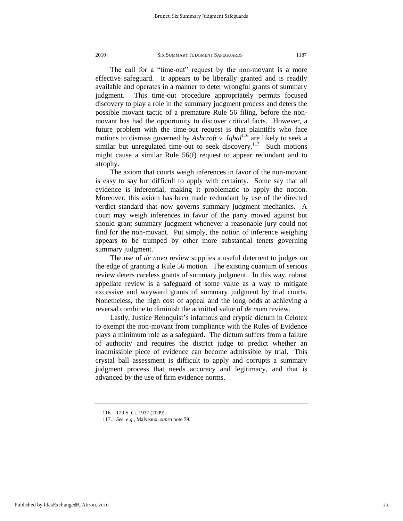The call for a "time-out" request by the non-movant is a more effective safeguard. It appears to be liberally granted and is readily available and operates in a manner to deter wrongful grants of summary judgment. This time-out procedure appropriately permits focused discovery to play a role in the summary judgment process and deters the possible movant tactic of a premature Rule 56 filing, before the nonmovant has had the opportunity to discover critical facts. However, a future problem with the time-out request is that plaintiffs who face motions to dismiss governed by *Ashcroft v. Iqbal*<sup>116</sup> are likely to seek a similar but unregulated time-out to seek discovery.<sup>117</sup> Such motions might cause a similar Rule 56(f) request to appear redundant and to atrophy.

The axiom that courts weigh inferences in favor of the non-movant is easy to say but difficult to apply with certainty. Some say that all evidence is inferential, making it problematic to apply the notion. Moreover, this axiom has been made redundant by use of the directed verdict standard that now governs summary judgment mechanics. A court may weigh inferences in favor of the party moved against but should grant summary judgment whenever a reasonable jury could not find for the non-movant. Put simply, the notion of inference weighing appears to be trumped by other more substantial tenets governing summary judgment.

The use of *de novo* review supplies a useful deterrent to judges on the edge of granting a Rule 56 motion. The existing quantum of serious review deters careless grants of summary judgment. In this way, robust appellate review is a safeguard of some value as a way to mitigate excessive and wayward grants of summary judgment by trial courts. Nonetheless, the high cost of appeal and the long odds at achieving a reversal combine to diminish the admitted value of *de novo* review.

Lastly, Justice Rehnquist's infamous and cryptic dictum in Celotex to exempt the non-movant from compliance with the Rules of Evidence plays a minimum role as a safeguard. The dictum suffers from a failure of authority and requires the district judge to predict whether an inadmissible piece of evidence can become admissible by trial. This crystal ball assessment is difficult to apply and corrupts a summary judgment process that needs accuracy and legitimacy, and that is advanced by the use of firm evidence norms.

Published by IdeaExchange@UAkron, 2010

<sup>116. 129</sup> S. Ct. 1937 (2009).

<sup>117.</sup> *See, e.g.*, Malveaux, *supra* not[e 79.](#page-16-0)